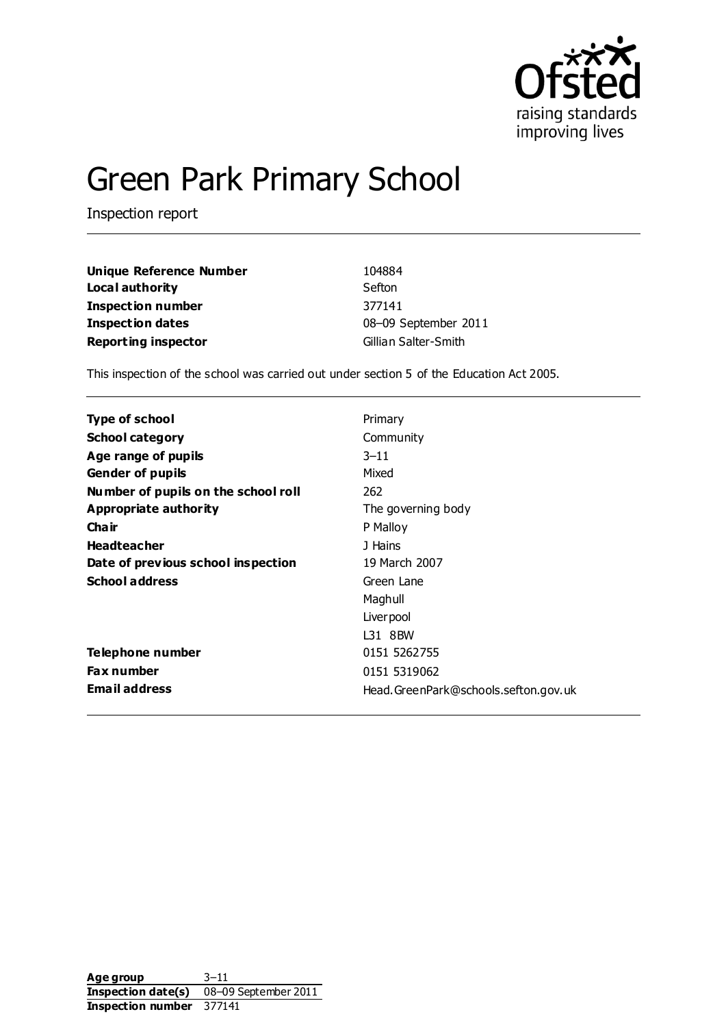

# Green Park Primary School

Inspection report

| Unique Reference Number    | 104884               |
|----------------------------|----------------------|
| Local authority            | Sefton               |
| Inspection number          | 377141               |
| Inspection dates           | 08-09 September 2011 |
| <b>Reporting inspector</b> | Gillian Salter-Smith |

This inspection of the school was carried out under section 5 of the Education Act 2005.

| Type of school                      | Primary                              |
|-------------------------------------|--------------------------------------|
| <b>School category</b>              | Community                            |
| Age range of pupils                 | $3 - 11$                             |
| <b>Gender of pupils</b>             | Mixed                                |
| Number of pupils on the school roll | 262                                  |
| Appropriate authority               | The governing body                   |
| Cha ir                              | P Malloy                             |
| <b>Headteacher</b>                  | J Hains                              |
| Date of previous school inspection  | 19 March 2007                        |
| <b>School address</b>               | Green Lane                           |
|                                     | Maghull                              |
|                                     | Liver pool                           |
|                                     | L31 8BW                              |
| Telephone number                    | 0151 5262755                         |
| <b>Fax number</b>                   | 0151 5319062                         |
| <b>Email address</b>                | Head.GreenPark@schools.sefton.gov.uk |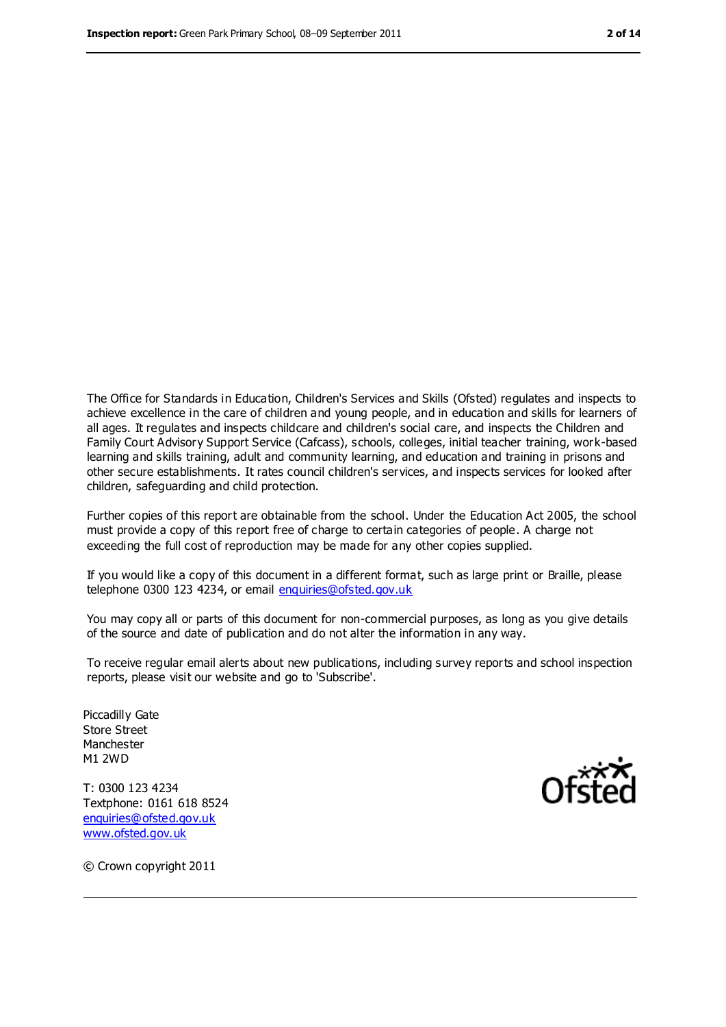The Office for Standards in Education, Children's Services and Skills (Ofsted) regulates and inspects to achieve excellence in the care of children and young people, and in education and skills for learners of all ages. It regulates and inspects childcare and children's social care, and inspects the Children and Family Court Advisory Support Service (Cafcass), schools, colleges, initial teacher training, work-based learning and skills training, adult and community learning, and education and training in prisons and other secure establishments. It rates council children's services, and inspects services for looked after children, safeguarding and child protection.

Further copies of this report are obtainable from the school. Under the Education Act 2005, the school must provide a copy of this report free of charge to certain categories of people. A charge not exceeding the full cost of reproduction may be made for any other copies supplied.

If you would like a copy of this document in a different format, such as large print or Braille, please telephone 0300 123 4234, or email [enquiries@ofsted.gov.uk](mailto:enquiries@ofsted.gov.uk)

You may copy all or parts of this document for non-commercial purposes, as long as you give details of the source and date of publication and do not alter the information in any way.

To receive regular email alerts about new publications, including survey reports and school inspection reports, please visit our website and go to 'Subscribe'.

Piccadilly Gate Store Street Manchester M1 2WD

T: 0300 123 4234 Textphone: 0161 618 8524 [enquiries@ofsted.gov.uk](mailto:enquiries@ofsted.gov.uk) [www.ofsted.gov.uk](http://www.ofsted.gov.uk/)



© Crown copyright 2011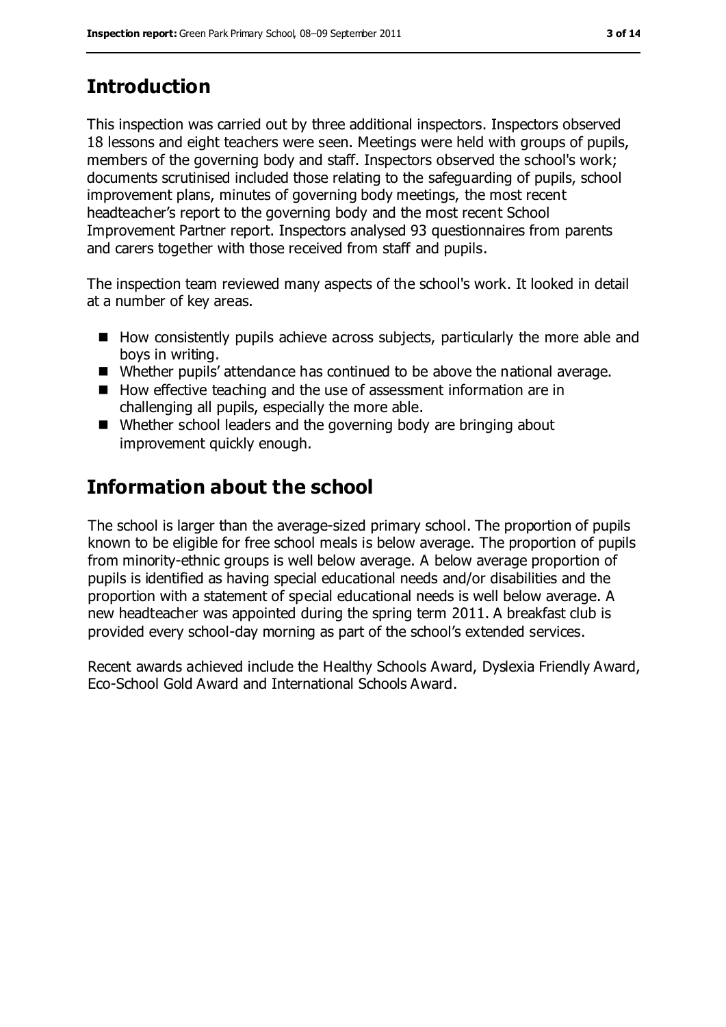# **Introduction**

This inspection was carried out by three additional inspectors. Inspectors observed 18 lessons and eight teachers were seen. Meetings were held with groups of pupils, members of the governing body and staff. Inspectors observed the school's work; documents scrutinised included those relating to the safeguarding of pupils, school improvement plans, minutes of governing body meetings, the most recent headteacher's report to the governing body and the most recent School Improvement Partner report. Inspectors analysed 93 questionnaires from parents and carers together with those received from staff and pupils.

The inspection team reviewed many aspects of the school's work. It looked in detail at a number of key areas.

- How consistently pupils achieve across subjects, particularly the more able and boys in writing.
- Whether pupils' attendance has continued to be above the national average.
- How effective teaching and the use of assessment information are in challenging all pupils, especially the more able.
- Whether school leaders and the governing body are bringing about improvement quickly enough.

# **Information about the school**

The school is larger than the average-sized primary school. The proportion of pupils known to be eligible for free school meals is below average. The proportion of pupils from minority-ethnic groups is well below average. A below average proportion of pupils is identified as having special educational needs and/or disabilities and the proportion with a statement of special educational needs is well below average. A new headteacher was appointed during the spring term 2011. A breakfast club is provided every school-day morning as part of the school's extended services.

Recent awards achieved include the Healthy Schools Award, Dyslexia Friendly Award, Eco-School Gold Award and International Schools Award.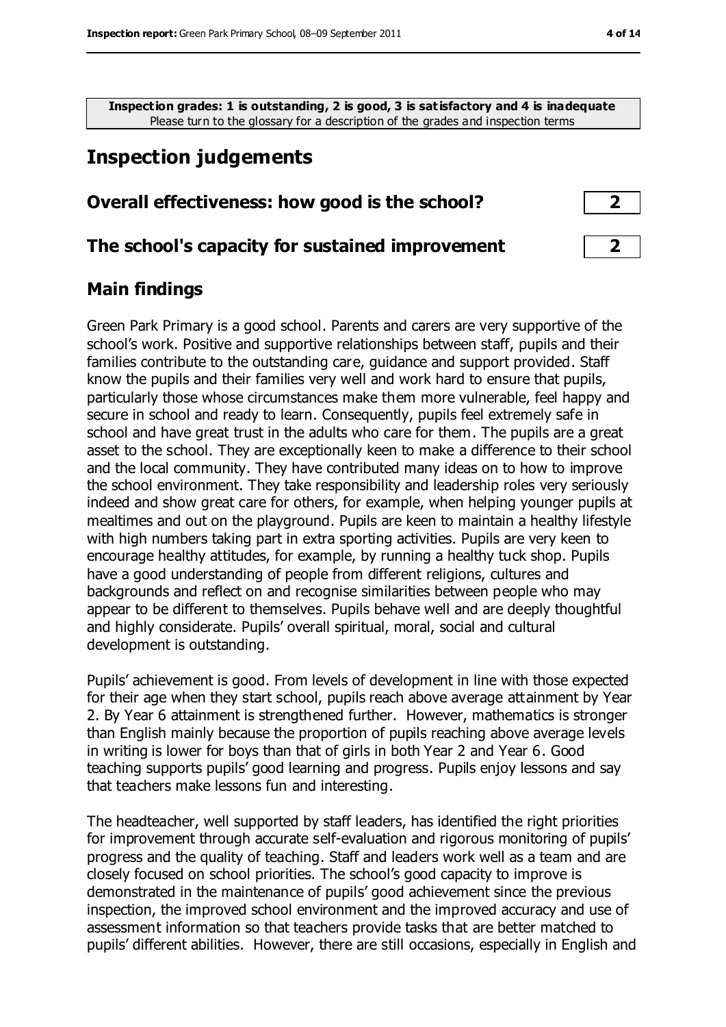**Inspection grades: 1 is outstanding, 2 is good, 3 is satisfactory and 4 is inadequate** Please turn to the glossary for a description of the grades and inspection terms

# **Inspection judgements**

#### **Overall effectiveness: how good is the school? 2**

#### **The school's capacity for sustained improvement 2**

#### **Main findings**

Green Park Primary is a good school. Parents and carers are very supportive of the school's work. Positive and supportive relationships between staff, pupils and their families contribute to the outstanding care, guidance and support provided. Staff know the pupils and their families very well and work hard to ensure that pupils, particularly those whose circumstances make them more vulnerable, feel happy and secure in school and ready to learn. Consequently, pupils feel extremely safe in school and have great trust in the adults who care for them. The pupils are a great asset to the school. They are exceptionally keen to make a difference to their school and the local community. They have contributed many ideas on to how to improve the school environment. They take responsibility and leadership roles very seriously indeed and show great care for others, for example, when helping younger pupils at mealtimes and out on the playground. Pupils are keen to maintain a healthy lifestyle with high numbers taking part in extra sporting activities. Pupils are very keen to encourage healthy attitudes, for example, by running a healthy tuck shop. Pupils have a good understanding of people from different religions, cultures and backgrounds and reflect on and recognise similarities between people who may appear to be different to themselves. Pupils behave well and are deeply thoughtful and highly considerate. Pupils' overall spiritual, moral, social and cultural development is outstanding.

Pupils' achievement is good. From levels of development in line with those expected for their age when they start school, pupils reach above average attainment by Year 2. By Year 6 attainment is strengthened further. However, mathematics is stronger than English mainly because the proportion of pupils reaching above average levels in writing is lower for boys than that of girls in both Year 2 and Year 6. Good teaching supports pupils' good learning and progress. Pupils enjoy lessons and say that teachers make lessons fun and interesting.

The headteacher, well supported by staff leaders, has identified the right priorities for improvement through accurate self-evaluation and rigorous monitoring of pupils' progress and the quality of teaching. Staff and leaders work well as a team and are closely focused on school priorities. The school's good capacity to improve is demonstrated in the maintenance of pupils' good achievement since the previous inspection, the improved school environment and the improved accuracy and use of assessment information so that teachers provide tasks that are better matched to pupils' different abilities. However, there are still occasions, especially in English and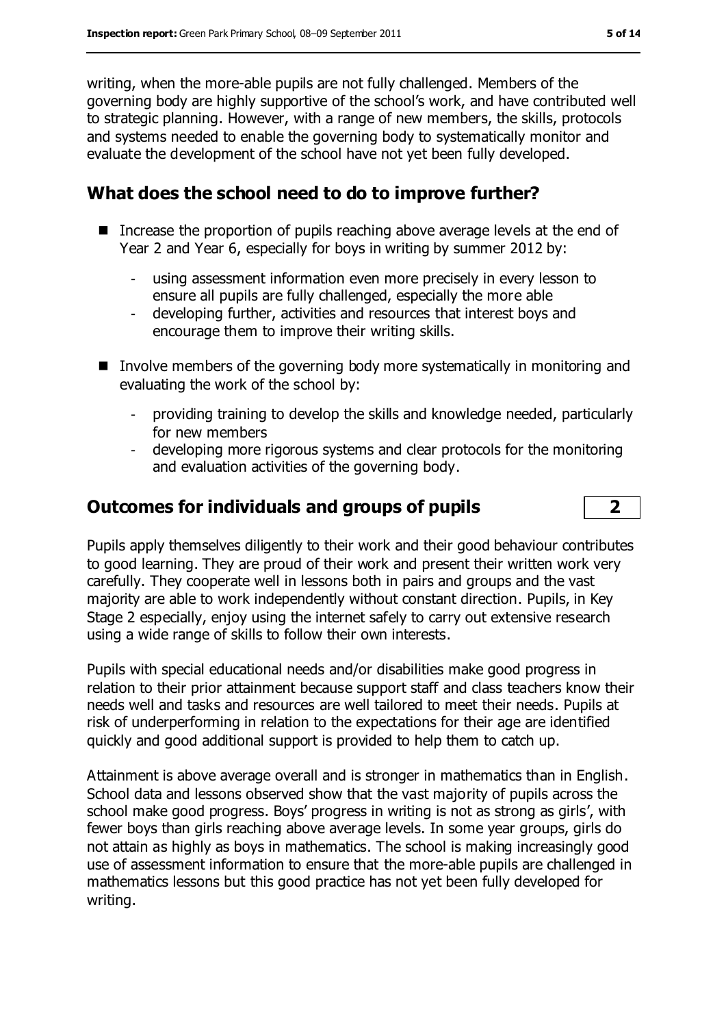writing, when the more-able pupils are not fully challenged. Members of the governing body are highly supportive of the school's work, and have contributed well to strategic planning. However, with a range of new members, the skills, protocols and systems needed to enable the governing body to systematically monitor and evaluate the development of the school have not yet been fully developed.

## **What does the school need to do to improve further?**

- Increase the proportion of pupils reaching above average levels at the end of Year 2 and Year 6, especially for boys in writing by summer 2012 by:
	- using assessment information even more precisely in every lesson to ensure all pupils are fully challenged, especially the more able
	- developing further, activities and resources that interest boys and encourage them to improve their writing skills.
- Involve members of the governing body more systematically in monitoring and evaluating the work of the school by:
	- providing training to develop the skills and knowledge needed, particularly for new members
	- developing more rigorous systems and clear protocols for the monitoring and evaluation activities of the governing body.

## **Outcomes for individuals and groups of pupils 2**

Pupils apply themselves diligently to their work and their good behaviour contributes to good learning. They are proud of their work and present their written work very carefully. They cooperate well in lessons both in pairs and groups and the vast majority are able to work independently without constant direction. Pupils, in Key Stage 2 especially, enjoy using the internet safely to carry out extensive research using a wide range of skills to follow their own interests.

Pupils with special educational needs and/or disabilities make good progress in relation to their prior attainment because support staff and class teachers know their needs well and tasks and resources are well tailored to meet their needs. Pupils at risk of underperforming in relation to the expectations for their age are identified quickly and good additional support is provided to help them to catch up.

Attainment is above average overall and is stronger in mathematics than in English. School data and lessons observed show that the vast majority of pupils across the school make good progress. Boys' progress in writing is not as strong as girls', with fewer boys than girls reaching above average levels. In some year groups, girls do not attain as highly as boys in mathematics. The school is making increasingly good use of assessment information to ensure that the more-able pupils are challenged in mathematics lessons but this good practice has not yet been fully developed for writing.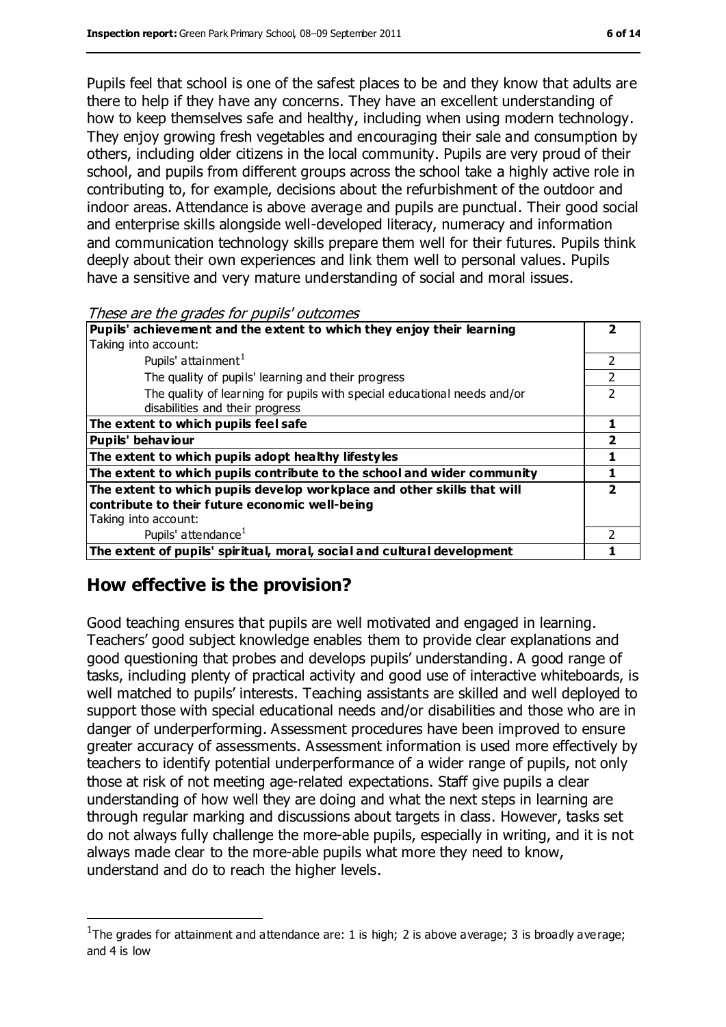Pupils feel that school is one of the safest places to be and they know that adults are there to help if they have any concerns. They have an excellent understanding of how to keep themselves safe and healthy, including when using modern technology. They enjoy growing fresh vegetables and encouraging their sale and consumption by others, including older citizens in the local community. Pupils are very proud of their school, and pupils from different groups across the school take a highly active role in contributing to, for example, decisions about the refurbishment of the outdoor and indoor areas. Attendance is above average and pupils are punctual. Their good social and enterprise skills alongside well-developed literacy, numeracy and information and communication technology skills prepare them well for their futures. Pupils think deeply about their own experiences and link them well to personal values. Pupils have a sensitive and very mature understanding of social and moral issues.

These are the grades for pupils' outcomes

| Pupils' achievement and the extent to which they enjoy their learning    |   |
|--------------------------------------------------------------------------|---|
| Taking into account:                                                     |   |
| Pupils' attainment <sup>1</sup>                                          |   |
| The quality of pupils' learning and their progress                       |   |
| The quality of learning for pupils with special educational needs and/or | າ |
| disabilities and their progress                                          |   |
| The extent to which pupils feel safe                                     |   |
| <b>Pupils' behaviour</b>                                                 |   |
| The extent to which pupils adopt healthy lifestyles                      |   |
| The extent to which pupils contribute to the school and wider community  |   |
| The extent to which pupils develop workplace and other skills that will  |   |
| contribute to their future economic well-being                           |   |
| Taking into account:                                                     |   |
| Pupils' attendance <sup>1</sup>                                          | າ |
| The extent of pupils' spiritual, moral, social and cultural development  |   |

#### **How effective is the provision?**

 $\overline{a}$ 

Good teaching ensures that pupils are well motivated and engaged in learning. Teachers' good subject knowledge enables them to provide clear explanations and good questioning that probes and develops pupils' understanding. A good range of tasks, including plenty of practical activity and good use of interactive whiteboards, is well matched to pupils' interests. Teaching assistants are skilled and well deployed to support those with special educational needs and/or disabilities and those who are in danger of underperforming. Assessment procedures have been improved to ensure greater accuracy of assessments. Assessment information is used more effectively by teachers to identify potential underperformance of a wider range of pupils, not only those at risk of not meeting age-related expectations. Staff give pupils a clear understanding of how well they are doing and what the next steps in learning are through regular marking and discussions about targets in class. However, tasks set do not always fully challenge the more-able pupils, especially in writing, and it is not always made clear to the more-able pupils what more they need to know, understand and do to reach the higher levels.

<sup>&</sup>lt;sup>1</sup>The grades for attainment and attendance are: 1 is high; 2 is above average; 3 is broadly average; and 4 is low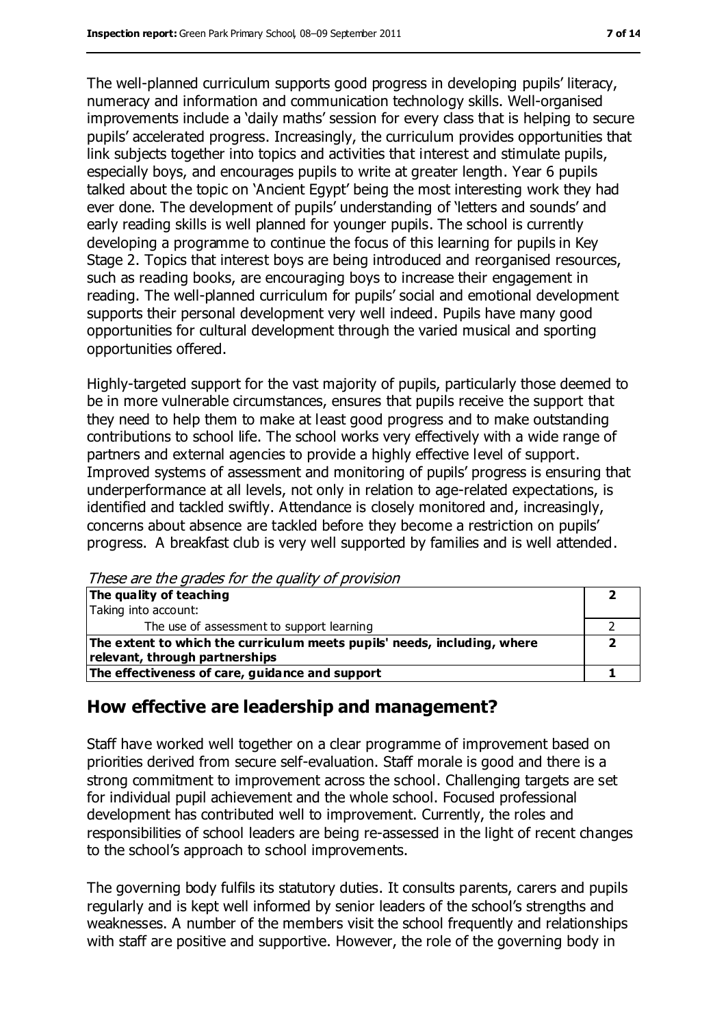The well-planned curriculum supports good progress in developing pupils' literacy, numeracy and information and communication technology skills. Well-organised improvements include a 'daily maths' session for every class that is helping to secure pupils' accelerated progress. Increasingly, the curriculum provides opportunities that link subjects together into topics and activities that interest and stimulate pupils, especially boys, and encourages pupils to write at greater length. Year 6 pupils talked about the topic on 'Ancient Egypt' being the most interesting work they had ever done. The development of pupils' understanding of 'letters and sounds' and early reading skills is well planned for younger pupils. The school is currently developing a programme to continue the focus of this learning for pupils in Key Stage 2. Topics that interest boys are being introduced and reorganised resources, such as reading books, are encouraging boys to increase their engagement in reading. The well-planned curriculum for pupils' social and emotional development supports their personal development very well indeed. Pupils have many good opportunities for cultural development through the varied musical and sporting opportunities offered.

Highly-targeted support for the vast majority of pupils, particularly those deemed to be in more vulnerable circumstances, ensures that pupils receive the support that they need to help them to make at least good progress and to make outstanding contributions to school life. The school works very effectively with a wide range of partners and external agencies to provide a highly effective level of support. Improved systems of assessment and monitoring of pupils' progress is ensuring that underperformance at all levels, not only in relation to age-related expectations, is identified and tackled swiftly. Attendance is closely monitored and, increasingly, concerns about absence are tackled before they become a restriction on pupils' progress. A breakfast club is very well supported by families and is well attended.

These are the grades for the quality of provision

| The quality of teaching                                                  |  |
|--------------------------------------------------------------------------|--|
| Taking into account:                                                     |  |
| The use of assessment to support learning                                |  |
| The extent to which the curriculum meets pupils' needs, including, where |  |
| relevant, through partnerships                                           |  |
| The effectiveness of care, guidance and support                          |  |

#### **How effective are leadership and management?**

Staff have worked well together on a clear programme of improvement based on priorities derived from secure self-evaluation. Staff morale is good and there is a strong commitment to improvement across the school. Challenging targets are set for individual pupil achievement and the whole school. Focused professional development has contributed well to improvement. Currently, the roles and responsibilities of school leaders are being re-assessed in the light of recent changes to the school's approach to school improvements.

The governing body fulfils its statutory duties. It consults parents, carers and pupils regularly and is kept well informed by senior leaders of the school's strengths and weaknesses. A number of the members visit the school frequently and relationships with staff are positive and supportive. However, the role of the governing body in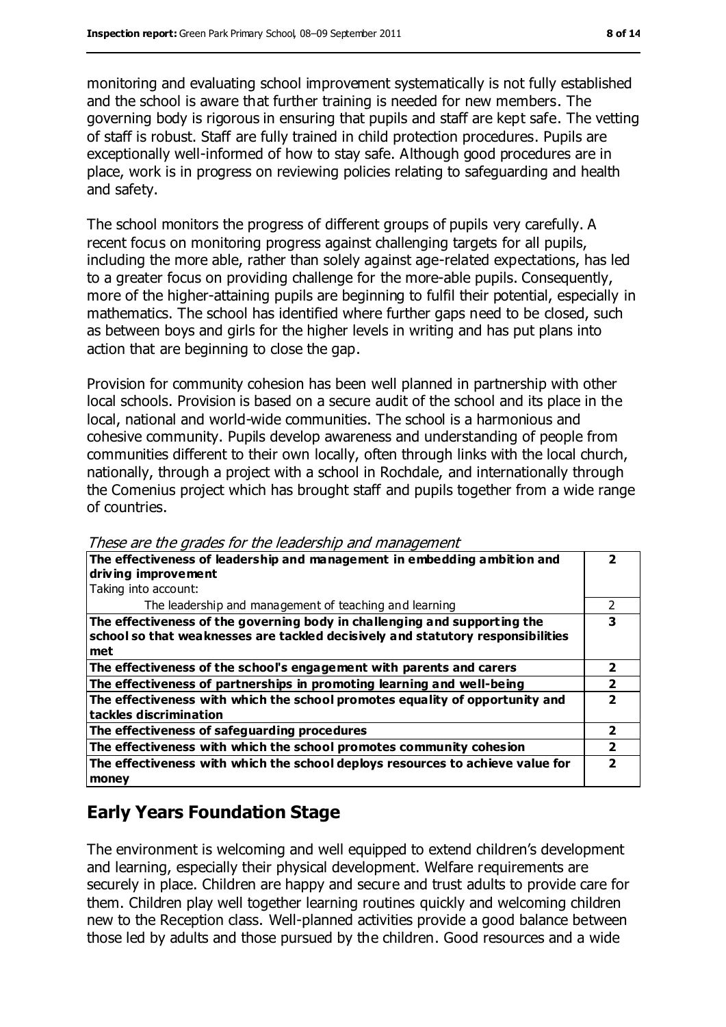monitoring and evaluating school improvement systematically is not fully established and the school is aware that further training is needed for new members. The governing body is rigorous in ensuring that pupils and staff are kept safe. The vetting of staff is robust. Staff are fully trained in child protection procedures. Pupils are exceptionally well-informed of how to stay safe. Although good procedures are in place, work is in progress on reviewing policies relating to safeguarding and health and safety.

The school monitors the progress of different groups of pupils very carefully. A recent focus on monitoring progress against challenging targets for all pupils, including the more able, rather than solely against age-related expectations, has led to a greater focus on providing challenge for the more-able pupils. Consequently, more of the higher-attaining pupils are beginning to fulfil their potential, especially in mathematics. The school has identified where further gaps need to be closed, such as between boys and girls for the higher levels in writing and has put plans into action that are beginning to close the gap.

Provision for community cohesion has been well planned in partnership with other local schools. Provision is based on a secure audit of the school and its place in the local, national and world-wide communities. The school is a harmonious and cohesive community. Pupils develop awareness and understanding of people from communities different to their own locally, often through links with the local church, nationally, through a project with a school in Rochdale, and internationally through the Comenius project which has brought staff and pupils together from a wide range of countries.

| <i>ricoc are are grades for are readership and management</i>                   |               |
|---------------------------------------------------------------------------------|---------------|
| The effectiveness of leadership and management in embedding ambition and        |               |
| driving improvement                                                             |               |
| Taking into account:                                                            |               |
| The leadership and management of teaching and learning                          | $\mathcal{P}$ |
| The effectiveness of the governing body in challenging and supporting the       | 3             |
| school so that weaknesses are tackled decisively and statutory responsibilities |               |
| met                                                                             |               |
| The effectiveness of the school's engagement with parents and carers            | 2             |
| The effectiveness of partnerships in promoting learning and well-being          |               |
| The effectiveness with which the school promotes equality of opportunity and    |               |
| tackles discrimination                                                          |               |
| The effectiveness of safeguarding procedures                                    | $\mathbf{2}$  |
| The effectiveness with which the school promotes community cohesion             | 2             |
| The effectiveness with which the school deploys resources to achieve value for  |               |
| money                                                                           |               |

These are the grades for the leadership and management

#### **Early Years Foundation Stage**

The environment is welcoming and well equipped to extend children's development and learning, especially their physical development. Welfare requirements are securely in place. Children are happy and secure and trust adults to provide care for them. Children play well together learning routines quickly and welcoming children new to the Reception class. Well-planned activities provide a good balance between those led by adults and those pursued by the children. Good resources and a wide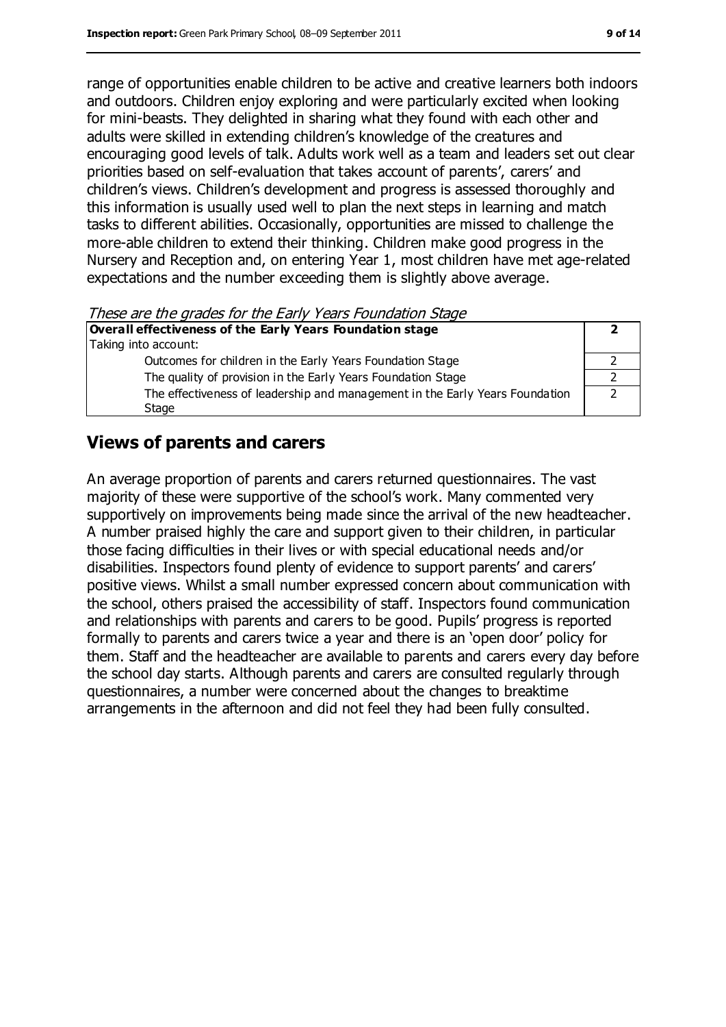range of opportunities enable children to be active and creative learners both indoors and outdoors. Children enjoy exploring and were particularly excited when looking for mini-beasts. They delighted in sharing what they found with each other and adults were skilled in extending children's knowledge of the creatures and encouraging good levels of talk. Adults work well as a team and leaders set out clear priorities based on self-evaluation that takes account of parents', carers' and children's views. Children's development and progress is assessed thoroughly and this information is usually used well to plan the next steps in learning and match tasks to different abilities. Occasionally, opportunities are missed to challenge the more-able children to extend their thinking. Children make good progress in the Nursery and Reception and, on entering Year 1, most children have met age-related expectations and the number exceeding them is slightly above average.

These are the grades for the Early Years Foundation Stage

| Overall effectiveness of the Early Years Foundation stage                    |  |
|------------------------------------------------------------------------------|--|
| Taking into account:                                                         |  |
| Outcomes for children in the Early Years Foundation Stage                    |  |
| The quality of provision in the Early Years Foundation Stage                 |  |
| The effectiveness of leadership and management in the Early Years Foundation |  |
| Stage                                                                        |  |

#### **Views of parents and carers**

An average proportion of parents and carers returned questionnaires. The vast majority of these were supportive of the school's work. Many commented very supportively on improvements being made since the arrival of the new headteacher. A number praised highly the care and support given to their children, in particular those facing difficulties in their lives or with special educational needs and/or disabilities. Inspectors found plenty of evidence to support parents' and carers' positive views. Whilst a small number expressed concern about communication with the school, others praised the accessibility of staff. Inspectors found communication and relationships with parents and carers to be good. Pupils' progress is reported formally to parents and carers twice a year and there is an 'open door' policy for them. Staff and the headteacher are available to parents and carers every day before the school day starts. Although parents and carers are consulted regularly through questionnaires, a number were concerned about the changes to breaktime arrangements in the afternoon and did not feel they had been fully consulted.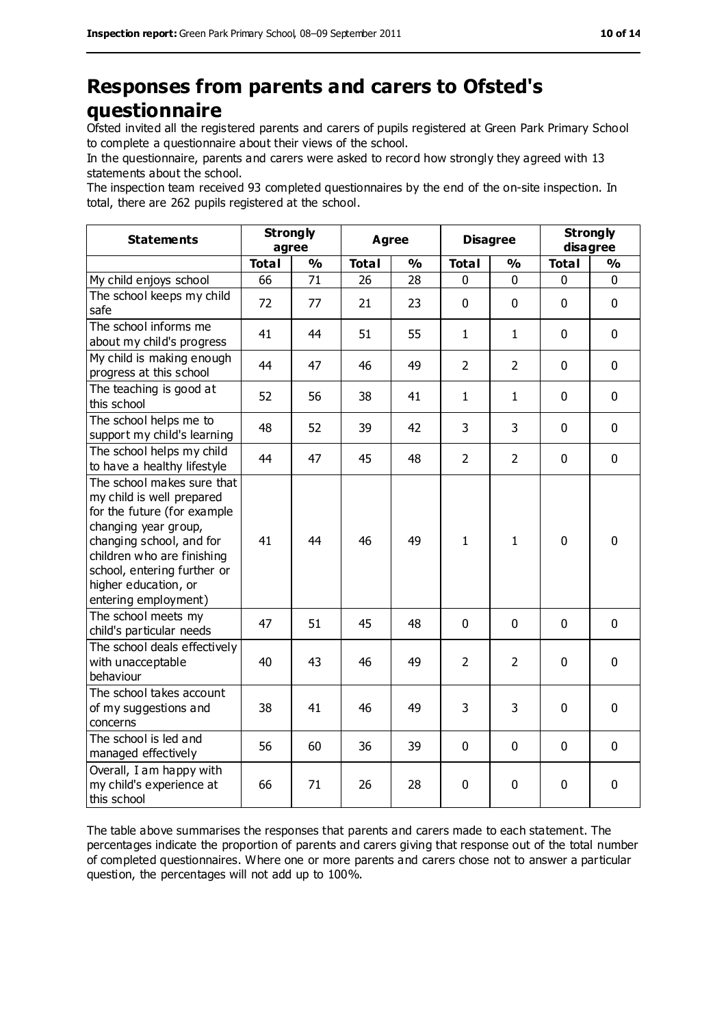# **Responses from parents and carers to Ofsted's questionnaire**

Ofsted invited all the registered parents and carers of pupils registered at Green Park Primary School to complete a questionnaire about their views of the school.

In the questionnaire, parents and carers were asked to record how strongly they agreed with 13 statements about the school.

The inspection team received 93 completed questionnaires by the end of the on-site inspection. In total, there are 262 pupils registered at the school.

| <b>Statements</b>                                                                                                                                                                                                                                       | <b>Strongly</b><br>agree |               | <b>Agree</b> |               | <b>Disagree</b> |                | <b>Strongly</b><br>disagree |               |
|---------------------------------------------------------------------------------------------------------------------------------------------------------------------------------------------------------------------------------------------------------|--------------------------|---------------|--------------|---------------|-----------------|----------------|-----------------------------|---------------|
|                                                                                                                                                                                                                                                         | <b>Total</b>             | $\frac{0}{0}$ | <b>Total</b> | $\frac{0}{0}$ | <b>Total</b>    | $\frac{0}{0}$  | <b>Total</b>                | $\frac{0}{0}$ |
| My child enjoys school                                                                                                                                                                                                                                  | 66                       | 71            | 26           | 28            | 0               | 0              | 0                           | 0             |
| The school keeps my child<br>safe                                                                                                                                                                                                                       | 72                       | 77            | 21           | 23            | 0               | 0              | $\mathbf 0$                 | 0             |
| The school informs me<br>about my child's progress                                                                                                                                                                                                      | 41                       | 44            | 51           | 55            | $\mathbf{1}$    | $\mathbf{1}$   | $\mathbf 0$                 | 0             |
| My child is making enough<br>progress at this school                                                                                                                                                                                                    | 44                       | 47            | 46           | 49            | $\overline{2}$  | $\overline{2}$ | $\mathbf 0$                 | 0             |
| The teaching is good at<br>this school                                                                                                                                                                                                                  | 52                       | 56            | 38           | 41            | $\mathbf{1}$    | 1              | $\mathbf 0$                 | 0             |
| The school helps me to<br>support my child's learning                                                                                                                                                                                                   | 48                       | 52            | 39           | 42            | 3               | 3              | $\mathbf 0$                 | 0             |
| The school helps my child<br>to have a healthy lifestyle                                                                                                                                                                                                | 44                       | 47            | 45           | 48            | $\overline{2}$  | $\overline{2}$ | $\mathbf 0$                 | 0             |
| The school makes sure that<br>my child is well prepared<br>for the future (for example<br>changing year group,<br>changing school, and for<br>children who are finishing<br>school, entering further or<br>higher education, or<br>entering employment) | 41                       | 44            | 46           | 49            | $\mathbf{1}$    | 1              | $\mathbf 0$                 | 0             |
| The school meets my<br>child's particular needs                                                                                                                                                                                                         | 47                       | 51            | 45           | 48            | 0               | $\Omega$       | $\mathbf 0$                 | 0             |
| The school deals effectively<br>with unacceptable<br>behaviour                                                                                                                                                                                          | 40                       | 43            | 46           | 49            | $\overline{2}$  | $\overline{2}$ | $\mathbf 0$                 | $\mathbf 0$   |
| The school takes account<br>of my suggestions and<br>concerns                                                                                                                                                                                           | 38                       | 41            | 46           | 49            | 3               | 3              | $\mathbf 0$                 | $\mathbf 0$   |
| The school is led and<br>managed effectively                                                                                                                                                                                                            | 56                       | 60            | 36           | 39            | 0               | 0              | $\mathbf 0$                 | 0             |
| Overall, I am happy with<br>my child's experience at<br>this school                                                                                                                                                                                     | 66                       | 71            | 26           | 28            | 0               | 0              | $\mathbf 0$                 | 0             |

The table above summarises the responses that parents and carers made to each statement. The percentages indicate the proportion of parents and carers giving that response out of the total number of completed questionnaires. Where one or more parents and carers chose not to answer a particular question, the percentages will not add up to 100%.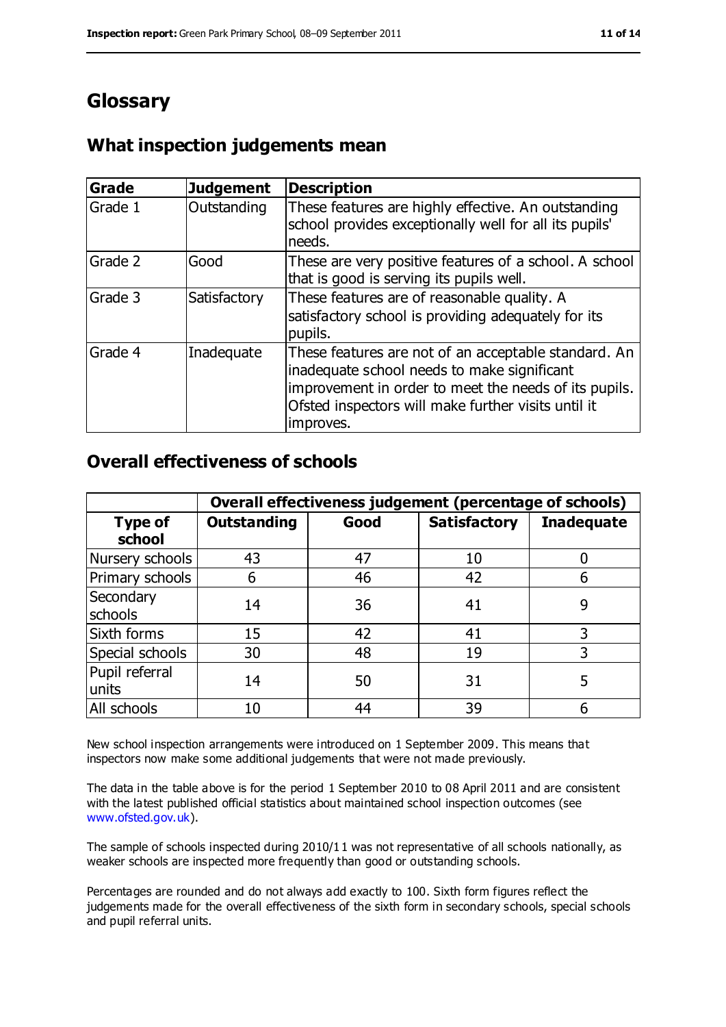# **Glossary**

## **What inspection judgements mean**

| Grade   | <b>Judgement</b> | <b>Description</b>                                                                                                                                                                                                               |
|---------|------------------|----------------------------------------------------------------------------------------------------------------------------------------------------------------------------------------------------------------------------------|
| Grade 1 | Outstanding      | These features are highly effective. An outstanding<br>school provides exceptionally well for all its pupils'<br>needs.                                                                                                          |
| Grade 2 | Good             | These are very positive features of a school. A school<br>that is good is serving its pupils well.                                                                                                                               |
| Grade 3 | Satisfactory     | These features are of reasonable quality. A<br>satisfactory school is providing adequately for its<br>pupils.                                                                                                                    |
| Grade 4 | Inadequate       | These features are not of an acceptable standard. An<br>inadequate school needs to make significant<br>improvement in order to meet the needs of its pupils.<br>Ofsted inspectors will make further visits until it<br>improves. |

#### **Overall effectiveness of schools**

|                          | Overall effectiveness judgement (percentage of schools) |      |                     |                   |
|--------------------------|---------------------------------------------------------|------|---------------------|-------------------|
| <b>Type of</b><br>school | <b>Outstanding</b>                                      | Good | <b>Satisfactory</b> | <b>Inadequate</b> |
| Nursery schools          | 43                                                      | 47   | 10                  |                   |
| Primary schools          | 6                                                       | 46   | 42                  |                   |
| Secondary<br>schools     | 14                                                      | 36   | 41                  | 9                 |
| Sixth forms              | 15                                                      | 42   | 41                  | 3                 |
| Special schools          | 30                                                      | 48   | 19                  |                   |
| Pupil referral<br>units  | 14                                                      | 50   | 31                  | 5                 |
| All schools              | 10                                                      | 44   | 39                  |                   |

New school inspection arrangements were introduced on 1 September 2009. This means that inspectors now make some additional judgements that were not made previously.

The data in the table above is for the period 1 September 2010 to 08 April 2011 and are consistent with the latest published official statistics about maintained school inspection outcomes (see [www.ofsted.gov.uk\)](http://www.ofsted.gov.uk/).

The sample of schools inspected during 2010/11 was not representative of all schools nationally, as weaker schools are inspected more frequently than good or outstanding schools.

Percentages are rounded and do not always add exactly to 100. Sixth form figures reflect the judgements made for the overall effectiveness of the sixth form in secondary schools, special schools and pupil referral units.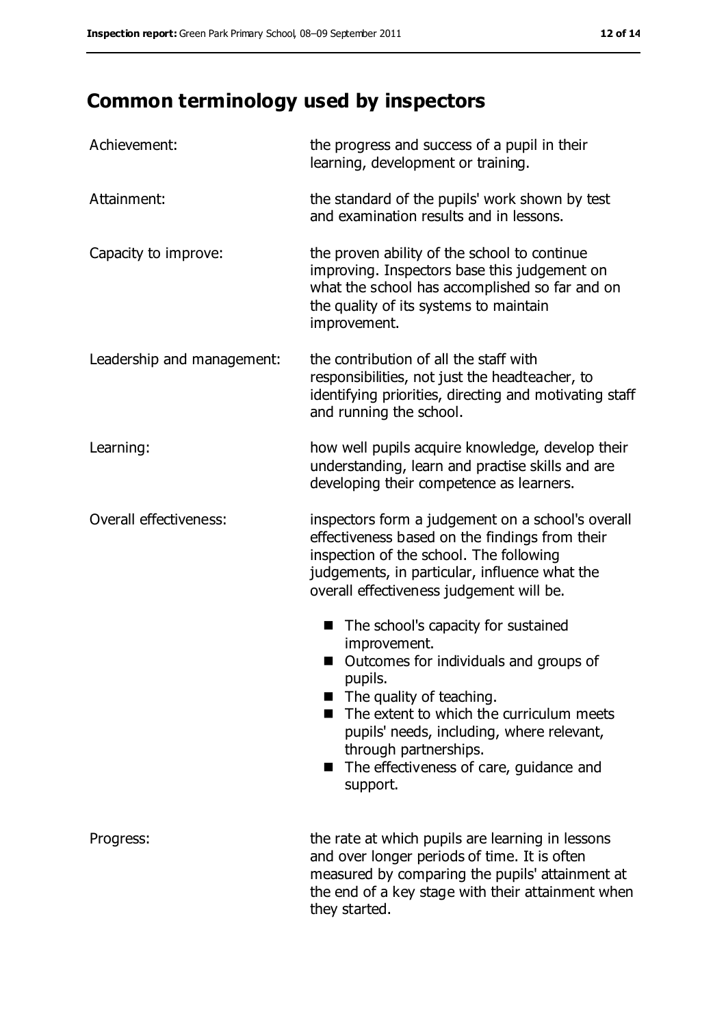# **Common terminology used by inspectors**

| Achievement:               | the progress and success of a pupil in their<br>learning, development or training.                                                                                                                                                                                                                                                        |
|----------------------------|-------------------------------------------------------------------------------------------------------------------------------------------------------------------------------------------------------------------------------------------------------------------------------------------------------------------------------------------|
| Attainment:                | the standard of the pupils' work shown by test<br>and examination results and in lessons.                                                                                                                                                                                                                                                 |
| Capacity to improve:       | the proven ability of the school to continue<br>improving. Inspectors base this judgement on<br>what the school has accomplished so far and on<br>the quality of its systems to maintain<br>improvement.                                                                                                                                  |
| Leadership and management: | the contribution of all the staff with<br>responsibilities, not just the headteacher, to<br>identifying priorities, directing and motivating staff<br>and running the school.                                                                                                                                                             |
| Learning:                  | how well pupils acquire knowledge, develop their<br>understanding, learn and practise skills and are<br>developing their competence as learners.                                                                                                                                                                                          |
| Overall effectiveness:     | inspectors form a judgement on a school's overall<br>effectiveness based on the findings from their<br>inspection of the school. The following<br>judgements, in particular, influence what the<br>overall effectiveness judgement will be.                                                                                               |
|                            | The school's capacity for sustained<br>H<br>improvement.<br>Outcomes for individuals and groups of<br>pupils.<br>The quality of teaching.<br>$\blacksquare$<br>The extent to which the curriculum meets<br>pupils' needs, including, where relevant,<br>through partnerships.<br>The effectiveness of care, guidance and<br>■<br>support. |
| Progress:                  | the rate at which pupils are learning in lessons<br>and over longer periods of time. It is often<br>measured by comparing the pupils' attainment at<br>the end of a key stage with their attainment when<br>they started.                                                                                                                 |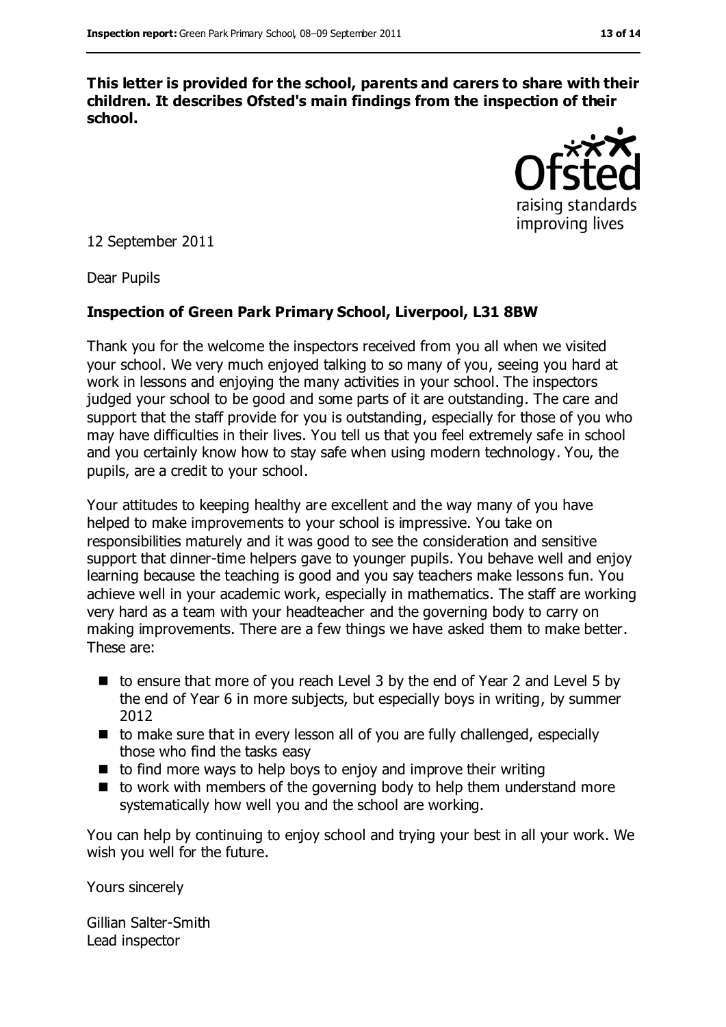**This letter is provided for the school, parents and carers to share with their children. It describes Ofsted's main findings from the inspection of their school.**



12 September 2011

Dear Pupils

#### **Inspection of Green Park Primary School, Liverpool, L31 8BW**

Thank you for the welcome the inspectors received from you all when we visited your school. We very much enjoyed talking to so many of you, seeing you hard at work in lessons and enjoying the many activities in your school. The inspectors judged your school to be good and some parts of it are outstanding. The care and support that the staff provide for you is outstanding, especially for those of you who may have difficulties in their lives. You tell us that you feel extremely safe in school and you certainly know how to stay safe when using modern technology. You, the pupils, are a credit to your school.

Your attitudes to keeping healthy are excellent and the way many of you have helped to make improvements to your school is impressive. You take on responsibilities maturely and it was good to see the consideration and sensitive support that dinner-time helpers gave to younger pupils. You behave well and enjoy learning because the teaching is good and you say teachers make lessons fun. You achieve well in your academic work, especially in mathematics. The staff are working very hard as a team with your headteacher and the governing body to carry on making improvements. There are a few things we have asked them to make better. These are:

- $\blacksquare$  to ensure that more of you reach Level 3 by the end of Year 2 and Level 5 by the end of Year 6 in more subjects, but especially boys in writing, by summer 2012
- to make sure that in every lesson all of you are fully challenged, especially those who find the tasks easy
- to find more ways to help boys to enjoy and improve their writing
- $\blacksquare$  to work with members of the governing body to help them understand more systematically how well you and the school are working.

You can help by continuing to enjoy school and trying your best in all your work. We wish you well for the future.

Yours sincerely

Gillian Salter-Smith Lead inspector